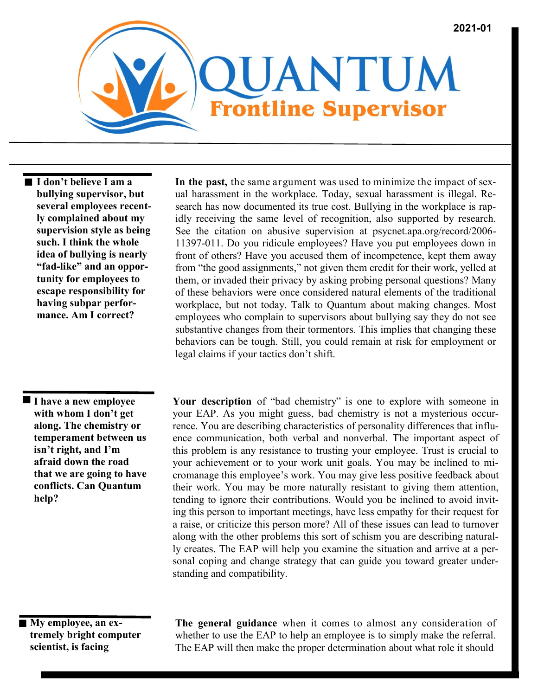

 **I don't believe I am a bullying supervisor, but several employees recently complained about my supervision style as being such. I think the whole idea of bullying is nearly "fad-like" and an opportunity for employees to escape responsibility for having subpar performance. Am I correct?** 

**In the past,** the same argument was used to minimize the impact of sexual harassment in the workplace. Today, sexual harassment is illegal. Research has now documented its true cost. Bullying in the workplace is rapidly receiving the same level of recognition, also supported by research. See the citation on abusive supervision at psycnet.apa.org/record/2006- 11397-011. Do you ridicule employees? Have you put employees down in front of others? Have you accused them of incompetence, kept them away from "the good assignments," not given them credit for their work, yelled at them, or invaded their privacy by asking probing personal questions? Many of these behaviors were once considered natural elements of the traditional workplace, but not today. Talk to Quantum about making changes. Most employees who complain to supervisors about bullying say they do not see substantive changes from their tormentors. This implies that changing these behaviors can be tough. Still, you could remain at risk for employment or legal claims if your tactics don't shift.

 **I have a new employee with whom I don't get along. The chemistry or temperament between us isn't right, and I'm afraid down the road that we are going to have conflicts. Can Quantum help?**

**Your description** of "bad chemistry" is one to explore with someone in your EAP. As you might guess, bad chemistry is not a mysterious occurrence. You are describing characteristics of personality differences that influence communication, both verbal and nonverbal. The important aspect of this problem is any resistance to trusting your employee. Trust is crucial to your achievement or to your work unit goals. You may be inclined to micromanage this employee's work. You may give less positive feedback about their work. You may be more naturally resistant to giving them attention, tending to ignore their contributions. Would you be inclined to avoid inviting this person to important meetings, have less empathy for their request for a raise, or criticize this person more? All of these issues can lead to turnover along with the other problems this sort of schism you are describing naturally creates. The EAP will help you examine the situation and arrive at a personal coping and change strategy that can guide you toward greater understanding and compatibility.

 **My employee, an extremely bright computer scientist, is facing** 

**The general guidance** when it comes to almost any consideration of whether to use the EAP to help an employee is to simply make the referral. The EAP will then make the proper determination about what role it should